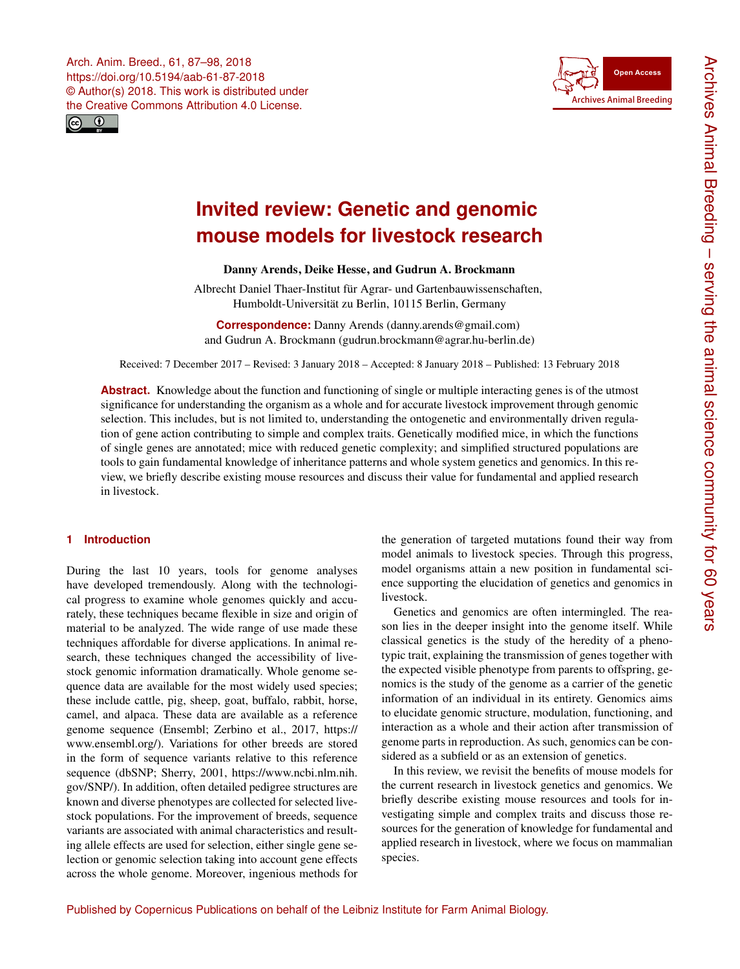<span id="page-0-0"></span>



# **Invited review: Genetic and genomic mouse models for livestock research**

Danny Arends, Deike Hesse, and Gudrun A. Brockmann

Albrecht Daniel Thaer-Institut für Agrar- und Gartenbauwissenschaften, Humboldt-Universität zu Berlin, 10115 Berlin, Germany

**Correspondence:** Danny Arends (danny.arends@gmail.com) and Gudrun A. Brockmann (gudrun.brockmann@agrar.hu-berlin.de)

Received: 7 December 2017 – Revised: 3 January 2018 – Accepted: 8 January 2018 – Published: 13 February 2018

**Abstract.** Knowledge about the function and functioning of single or multiple interacting genes is of the utmost significance for understanding the organism as a whole and for accurate livestock improvement through genomic selection. This includes, but is not limited to, understanding the ontogenetic and environmentally driven regulation of gene action contributing to simple and complex traits. Genetically modified mice, in which the functions of single genes are annotated; mice with reduced genetic complexity; and simplified structured populations are tools to gain fundamental knowledge of inheritance patterns and whole system genetics and genomics. In this review, we briefly describe existing mouse resources and discuss their value for fundamental and applied research in livestock.

# **1 Introduction**

During the last 10 years, tools for genome analyses have developed tremendously. Along with the technological progress to examine whole genomes quickly and accurately, these techniques became flexible in size and origin of material to be analyzed. The wide range of use made these techniques affordable for diverse applications. In animal research, these techniques changed the accessibility of livestock genomic information dramatically. Whole genome sequence data are available for the most widely used species; these include cattle, pig, sheep, goat, buffalo, rabbit, horse, camel, and alpaca. These data are available as a reference genome sequence (Ensembl; Zerbino et al., 2017, [https://](https://www.ensembl.org/) [www.ensembl.org/\)](https://www.ensembl.org/). Variations for other breeds are stored in the form of sequence variants relative to this reference sequence (dbSNP; Sherry, 2001, [https://www.ncbi.nlm.nih.](https://www.ncbi.nlm.nih.gov/SNP/) [gov/SNP/\)](https://www.ncbi.nlm.nih.gov/SNP/). In addition, often detailed pedigree structures are known and diverse phenotypes are collected for selected livestock populations. For the improvement of breeds, sequence variants are associated with animal characteristics and resulting allele effects are used for selection, either single gene selection or genomic selection taking into account gene effects across the whole genome. Moreover, ingenious methods for

the generation of targeted mutations found their way from model animals to livestock species. Through this progress, model organisms attain a new position in fundamental science supporting the elucidation of genetics and genomics in livestock.

Genetics and genomics are often intermingled. The reason lies in the deeper insight into the genome itself. While classical genetics is the study of the heredity of a phenotypic trait, explaining the transmission of genes together with the expected visible phenotype from parents to offspring, genomics is the study of the genome as a carrier of the genetic information of an individual in its entirety. Genomics aims to elucidate genomic structure, modulation, functioning, and interaction as a whole and their action after transmission of genome parts in reproduction. As such, genomics can be considered as a subfield or as an extension of genetics.

In this review, we revisit the benefits of mouse models for the current research in livestock genetics and genomics. We briefly describe existing mouse resources and tools for investigating simple and complex traits and discuss those resources for the generation of knowledge for fundamental and applied research in livestock, where we focus on mammalian species.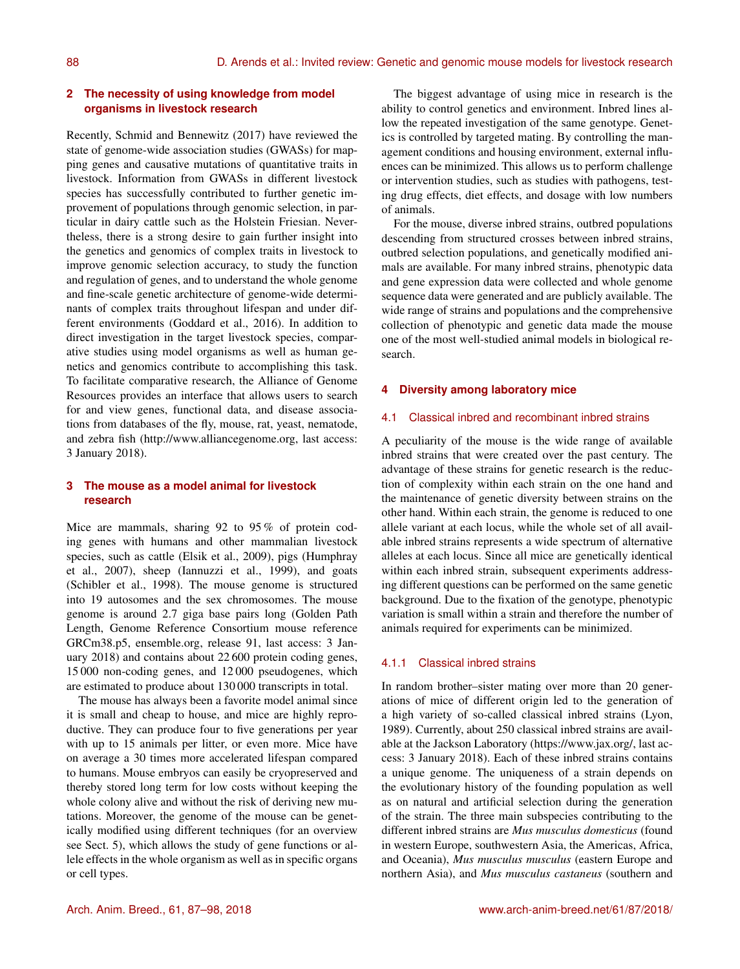# **2 The necessity of using knowledge from model organisms in livestock research**

Recently, Schmid and Bennewitz (2017) have reviewed the state of genome-wide association studies (GWASs) for mapping genes and causative mutations of quantitative traits in livestock. Information from GWASs in different livestock species has successfully contributed to further genetic improvement of populations through genomic selection, in particular in dairy cattle such as the Holstein Friesian. Nevertheless, there is a strong desire to gain further insight into the genetics and genomics of complex traits in livestock to improve genomic selection accuracy, to study the function and regulation of genes, and to understand the whole genome and fine-scale genetic architecture of genome-wide determinants of complex traits throughout lifespan and under different environments (Goddard et al., 2016). In addition to direct investigation in the target livestock species, comparative studies using model organisms as well as human genetics and genomics contribute to accomplishing this task. To facilitate comparative research, the Alliance of Genome Resources provides an interface that allows users to search for and view genes, functional data, and disease associations from databases of the fly, mouse, rat, yeast, nematode, and zebra fish [\(http://www.alliancegenome.org,](http://www.alliancegenome.org) last access: 3 January 2018).

# **3 The mouse as a model animal for livestock research**

Mice are mammals, sharing 92 to 95 % of protein coding genes with humans and other mammalian livestock species, such as cattle (Elsik et al., 2009), pigs (Humphray et al., 2007), sheep (Iannuzzi et al., 1999), and goats (Schibler et al., 1998). The mouse genome is structured into 19 autosomes and the sex chromosomes. The mouse genome is around 2.7 giga base pairs long (Golden Path Length, Genome Reference Consortium mouse reference GRCm38.p5, ensemble.org, release 91, last access: 3 January 2018) and contains about 22 600 protein coding genes, 15 000 non-coding genes, and 12 000 pseudogenes, which are estimated to produce about 130 000 transcripts in total.

The mouse has always been a favorite model animal since it is small and cheap to house, and mice are highly reproductive. They can produce four to five generations per year with up to 15 animals per litter, or even more. Mice have on average a 30 times more accelerated lifespan compared to humans. Mouse embryos can easily be cryopreserved and thereby stored long term for low costs without keeping the whole colony alive and without the risk of deriving new mutations. Moreover, the genome of the mouse can be genetically modified using different techniques (for an overview see Sect. 5), which allows the study of gene functions or allele effects in the whole organism as well as in specific organs or cell types.

The biggest advantage of using mice in research is the ability to control genetics and environment. Inbred lines allow the repeated investigation of the same genotype. Genetics is controlled by targeted mating. By controlling the management conditions and housing environment, external influences can be minimized. This allows us to perform challenge or intervention studies, such as studies with pathogens, testing drug effects, diet effects, and dosage with low numbers of animals.

For the mouse, diverse inbred strains, outbred populations descending from structured crosses between inbred strains, outbred selection populations, and genetically modified animals are available. For many inbred strains, phenotypic data and gene expression data were collected and whole genome sequence data were generated and are publicly available. The wide range of strains and populations and the comprehensive collection of phenotypic and genetic data made the mouse one of the most well-studied animal models in biological research.

## **4 Diversity among laboratory mice**

## 4.1 Classical inbred and recombinant inbred strains

A peculiarity of the mouse is the wide range of available inbred strains that were created over the past century. The advantage of these strains for genetic research is the reduction of complexity within each strain on the one hand and the maintenance of genetic diversity between strains on the other hand. Within each strain, the genome is reduced to one allele variant at each locus, while the whole set of all available inbred strains represents a wide spectrum of alternative alleles at each locus. Since all mice are genetically identical within each inbred strain, subsequent experiments addressing different questions can be performed on the same genetic background. Due to the fixation of the genotype, phenotypic variation is small within a strain and therefore the number of animals required for experiments can be minimized.

#### 4.1.1 Classical inbred strains

In random brother–sister mating over more than 20 generations of mice of different origin led to the generation of a high variety of so-called classical inbred strains (Lyon, 1989). Currently, about 250 classical inbred strains are available at the Jackson Laboratory [\(https://www.jax.org/,](https://www.jax.org/) last access: 3 January 2018). Each of these inbred strains contains a unique genome. The uniqueness of a strain depends on the evolutionary history of the founding population as well as on natural and artificial selection during the generation of the strain. The three main subspecies contributing to the different inbred strains are *Mus musculus domesticus* (found in western Europe, southwestern Asia, the Americas, Africa, and Oceania), *Mus musculus musculus* (eastern Europe and northern Asia), and *Mus musculus castaneus* (southern and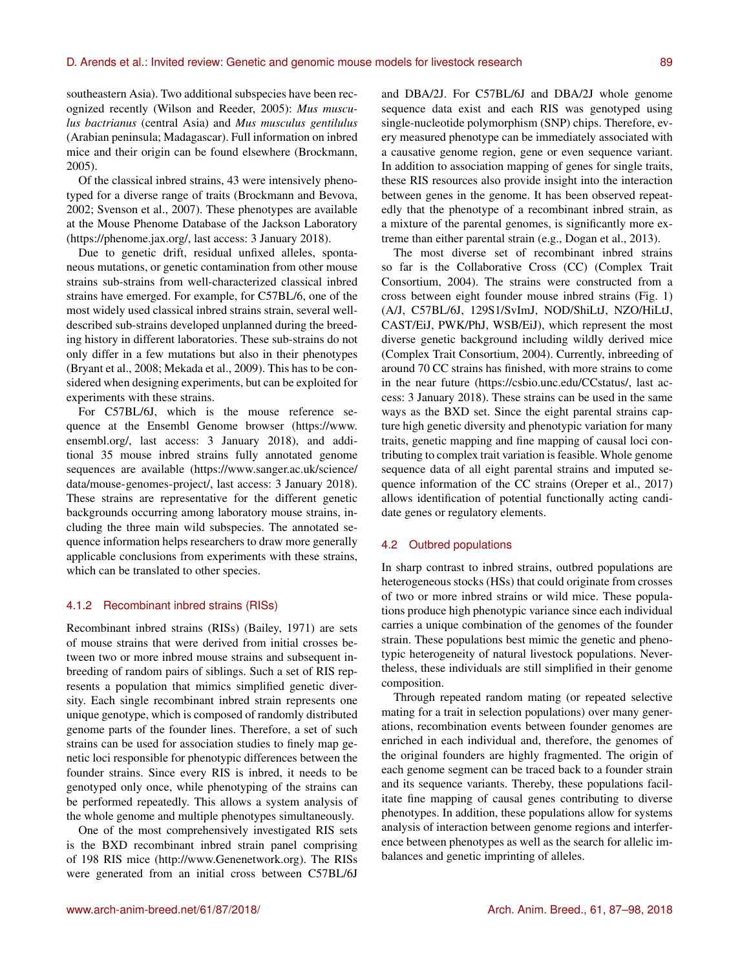southeastern Asia). Two additional subspecies have been recognized recently (Wilson and Reeder, 2005): *Mus musculus bactrianus* (central Asia) and *Mus musculus gentilulus* (Arabian peninsula; Madagascar). Full information on inbred mice and their origin can be found elsewhere (Brockmann, 2005).

Of the classical inbred strains, 43 were intensively phenotyped for a diverse range of traits (Brockmann and Bevova, 2002; Svenson et al., 2007). These phenotypes are available at the Mouse Phenome Database of the Jackson Laboratory [\(https://phenome.jax.org/,](https://phenome.jax.org/) last access: 3 January 2018).

Due to genetic drift, residual unfixed alleles, spontaneous mutations, or genetic contamination from other mouse strains sub-strains from well-characterized classical inbred strains have emerged. For example, for C57BL/6, one of the most widely used classical inbred strains strain, several welldescribed sub-strains developed unplanned during the breeding history in different laboratories. These sub-strains do not only differ in a few mutations but also in their phenotypes (Bryant et al., 2008; Mekada et al., 2009). This has to be considered when designing experiments, but can be exploited for experiments with these strains.

For C57BL/6J, which is the mouse reference sequence at the Ensembl Genome browser [\(https://www.](https://www.ensembl.org/) [ensembl.org/,](https://www.ensembl.org/) last access: 3 January 2018), and additional 35 mouse inbred strains fully annotated genome sequences are available [\(https://www.sanger.ac.uk/science/](https://www.sanger.ac.uk/science/data/mouse-genomes-project/) [data/mouse-genomes-project/,](https://www.sanger.ac.uk/science/data/mouse-genomes-project/) last access: 3 January 2018). These strains are representative for the different genetic backgrounds occurring among laboratory mouse strains, including the three main wild subspecies. The annotated sequence information helps researchers to draw more generally applicable conclusions from experiments with these strains, which can be translated to other species.

#### 4.1.2 Recombinant inbred strains (RISs)

Recombinant inbred strains (RISs) (Bailey, 1971) are sets of mouse strains that were derived from initial crosses between two or more inbred mouse strains and subsequent inbreeding of random pairs of siblings. Such a set of RIS represents a population that mimics simplified genetic diversity. Each single recombinant inbred strain represents one unique genotype, which is composed of randomly distributed genome parts of the founder lines. Therefore, a set of such strains can be used for association studies to finely map genetic loci responsible for phenotypic differences between the founder strains. Since every RIS is inbred, it needs to be genotyped only once, while phenotyping of the strains can be performed repeatedly. This allows a system analysis of the whole genome and multiple phenotypes simultaneously.

One of the most comprehensively investigated RIS sets is the BXD recombinant inbred strain panel comprising of 198 RIS mice [\(http://www.Genenetwork.org\)](http://www.Genenetwork.org). The RISs were generated from an initial cross between C57BL/6J and DBA/2J. For C57BL/6J and DBA/2J whole genome sequence data exist and each RIS was genotyped using single-nucleotide polymorphism (SNP) chips. Therefore, every measured phenotype can be immediately associated with a causative genome region, gene or even sequence variant. In addition to association mapping of genes for single traits, these RIS resources also provide insight into the interaction between genes in the genome. It has been observed repeatedly that the phenotype of a recombinant inbred strain, as a mixture of the parental genomes, is significantly more extreme than either parental strain (e.g., Dogan et al., 2013).

The most diverse set of recombinant inbred strains so far is the Collaborative Cross (CC) (Complex Trait Consortium, 2004). The strains were constructed from a cross between eight founder mouse inbred strains (Fig. 1) (A/J, C57BL/6J, 129S1/SvImJ, NOD/ShiLtJ, NZO/HiLtJ, CAST/EiJ, PWK/PhJ, WSB/EiJ), which represent the most diverse genetic background including wildly derived mice (Complex Trait Consortium, 2004). Currently, inbreeding of around 70 CC strains has finished, with more strains to come in the near future [\(https://csbio.unc.edu/CCstatus/,](https://csbio.unc.edu/CCstatus/) last access: 3 January 2018). These strains can be used in the same ways as the BXD set. Since the eight parental strains capture high genetic diversity and phenotypic variation for many traits, genetic mapping and fine mapping of causal loci contributing to complex trait variation is feasible. Whole genome sequence data of all eight parental strains and imputed sequence information of the CC strains (Oreper et al., 2017) allows identification of potential functionally acting candidate genes or regulatory elements.

## 4.2 Outbred populations

In sharp contrast to inbred strains, outbred populations are heterogeneous stocks (HSs) that could originate from crosses of two or more inbred strains or wild mice. These populations produce high phenotypic variance since each individual carries a unique combination of the genomes of the founder strain. These populations best mimic the genetic and phenotypic heterogeneity of natural livestock populations. Nevertheless, these individuals are still simplified in their genome composition.

Through repeated random mating (or repeated selective mating for a trait in selection populations) over many generations, recombination events between founder genomes are enriched in each individual and, therefore, the genomes of the original founders are highly fragmented. The origin of each genome segment can be traced back to a founder strain and its sequence variants. Thereby, these populations facilitate fine mapping of causal genes contributing to diverse phenotypes. In addition, these populations allow for systems analysis of interaction between genome regions and interference between phenotypes as well as the search for allelic imbalances and genetic imprinting of alleles.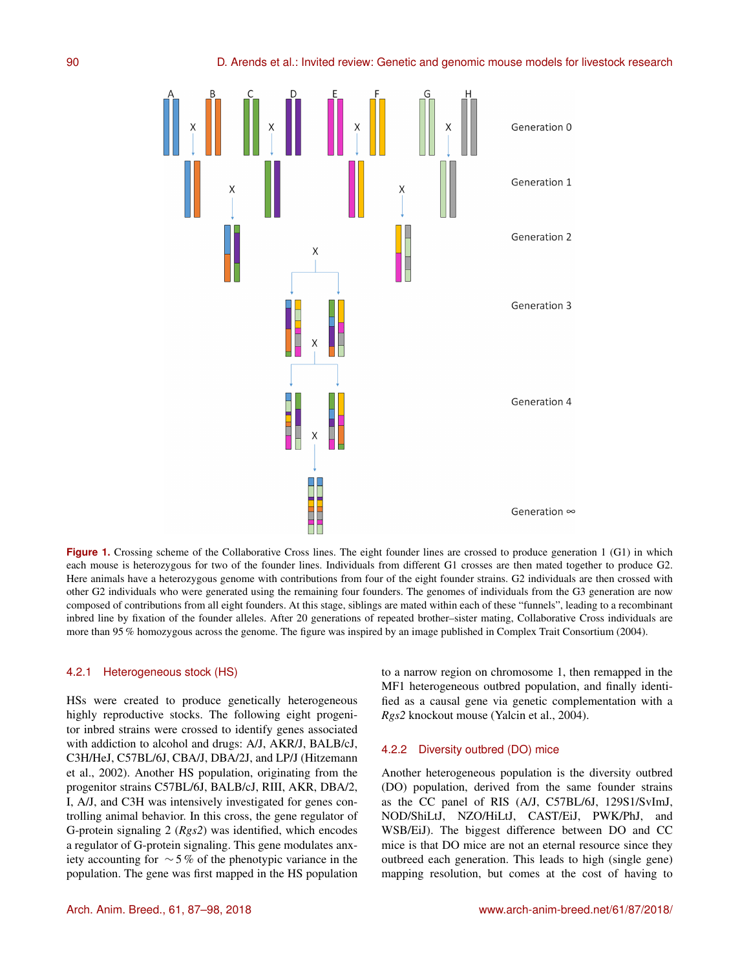

**Figure 1.** Crossing scheme of the Collaborative Cross lines. The eight founder lines are crossed to produce generation 1 (G1) in which each mouse is heterozygous for two of the founder lines. Individuals from different G1 crosses are then mated together to produce G2. Here animals have a heterozygous genome with contributions from four of the eight founder strains. G2 individuals are then crossed with other G2 individuals who were generated using the remaining four founders. The genomes of individuals from the G3 generation are now composed of contributions from all eight founders. At this stage, siblings are mated within each of these "funnels", leading to a recombinant inbred line by fixation of the founder alleles. After 20 generations of repeated brother–sister mating, Collaborative Cross individuals are more than 95 % homozygous across the genome. The figure was inspired by an image published in Complex Trait Consortium (2004).

#### 4.2.1 Heterogeneous stock (HS)

HSs were created to produce genetically heterogeneous highly reproductive stocks. The following eight progenitor inbred strains were crossed to identify genes associated with addiction to alcohol and drugs: A/J, AKR/J, BALB/cJ, C3H/HeJ, C57BL/6J, CBA/J, DBA/2J, and LP/J (Hitzemann et al., 2002). Another HS population, originating from the progenitor strains C57BL/6J, BALB/cJ, RIII, AKR, DBA/2, I, A/J, and C3H was intensively investigated for genes controlling animal behavior. In this cross, the gene regulator of G-protein signaling 2 (*Rgs2*) was identified, which encodes a regulator of G-protein signaling. This gene modulates anxiety accounting for ∼ 5 % of the phenotypic variance in the population. The gene was first mapped in the HS population

to a narrow region on chromosome 1, then remapped in the MF1 heterogeneous outbred population, and finally identified as a causal gene via genetic complementation with a *Rgs2* knockout mouse (Yalcin et al., 2004).

#### 4.2.2 Diversity outbred (DO) mice

Another heterogeneous population is the diversity outbred (DO) population, derived from the same founder strains as the CC panel of RIS (A/J, C57BL/6J, 129S1/SvImJ, NOD/ShiLtJ, NZO/HiLtJ, CAST/EiJ, PWK/PhJ, and WSB/EiJ). The biggest difference between DO and CC mice is that DO mice are not an eternal resource since they outbreed each generation. This leads to high (single gene) mapping resolution, but comes at the cost of having to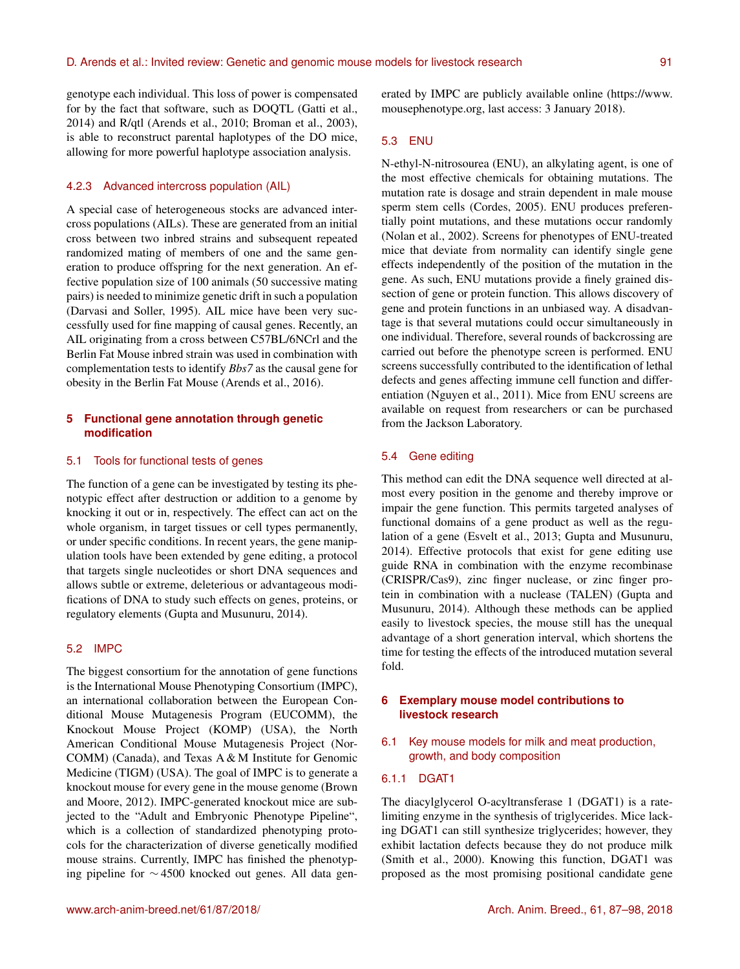genotype each individual. This loss of power is compensated for by the fact that software, such as DOQTL (Gatti et al., 2014) and R/qtl (Arends et al., 2010; Broman et al., 2003), is able to reconstruct parental haplotypes of the DO mice, allowing for more powerful haplotype association analysis.

#### 4.2.3 Advanced intercross population (AIL)

A special case of heterogeneous stocks are advanced intercross populations (AILs). These are generated from an initial cross between two inbred strains and subsequent repeated randomized mating of members of one and the same generation to produce offspring for the next generation. An effective population size of 100 animals (50 successive mating pairs) is needed to minimize genetic drift in such a population (Darvasi and Soller, 1995). AIL mice have been very successfully used for fine mapping of causal genes. Recently, an AIL originating from a cross between C57BL/6NCrl and the Berlin Fat Mouse inbred strain was used in combination with complementation tests to identify *Bbs7* as the causal gene for obesity in the Berlin Fat Mouse (Arends et al., 2016).

# **5 Functional gene annotation through genetic modification**

#### 5.1 Tools for functional tests of genes

The function of a gene can be investigated by testing its phenotypic effect after destruction or addition to a genome by knocking it out or in, respectively. The effect can act on the whole organism, in target tissues or cell types permanently, or under specific conditions. In recent years, the gene manipulation tools have been extended by gene editing, a protocol that targets single nucleotides or short DNA sequences and allows subtle or extreme, deleterious or advantageous modifications of DNA to study such effects on genes, proteins, or regulatory elements (Gupta and Musunuru, 2014).

# 5.2 IMPC

The biggest consortium for the annotation of gene functions is the International Mouse Phenotyping Consortium (IMPC), an international collaboration between the European Conditional Mouse Mutagenesis Program (EUCOMM), the Knockout Mouse Project (KOMP) (USA), the North American Conditional Mouse Mutagenesis Project (Nor-COMM) (Canada), and Texas A & M Institute for Genomic Medicine (TIGM) (USA). The goal of IMPC is to generate a knockout mouse for every gene in the mouse genome (Brown and Moore, 2012). IMPC-generated knockout mice are subjected to the "Adult and Embryonic Phenotype Pipeline", which is a collection of standardized phenotyping protocols for the characterization of diverse genetically modified mouse strains. Currently, IMPC has finished the phenotyping pipeline for ∼ 4500 knocked out genes. All data generated by IMPC are publicly available online [\(https://www.](https://www.mousephenotype.org) [mousephenotype.org,](https://www.mousephenotype.org) last access: 3 January 2018).

#### 5.3 ENU

N-ethyl-N-nitrosourea (ENU), an alkylating agent, is one of the most effective chemicals for obtaining mutations. The mutation rate is dosage and strain dependent in male mouse sperm stem cells (Cordes, 2005). ENU produces preferentially point mutations, and these mutations occur randomly (Nolan et al., 2002). Screens for phenotypes of ENU-treated mice that deviate from normality can identify single gene effects independently of the position of the mutation in the gene. As such, ENU mutations provide a finely grained dissection of gene or protein function. This allows discovery of gene and protein functions in an unbiased way. A disadvantage is that several mutations could occur simultaneously in one individual. Therefore, several rounds of backcrossing are carried out before the phenotype screen is performed. ENU screens successfully contributed to the identification of lethal defects and genes affecting immune cell function and differentiation (Nguyen et al., 2011). Mice from ENU screens are available on request from researchers or can be purchased from the Jackson Laboratory.

## 5.4 Gene editing

This method can edit the DNA sequence well directed at almost every position in the genome and thereby improve or impair the gene function. This permits targeted analyses of functional domains of a gene product as well as the regulation of a gene (Esvelt et al., 2013; Gupta and Musunuru, 2014). Effective protocols that exist for gene editing use guide RNA in combination with the enzyme recombinase (CRISPR/Cas9), zinc finger nuclease, or zinc finger protein in combination with a nuclease (TALEN) (Gupta and Musunuru, 2014). Although these methods can be applied easily to livestock species, the mouse still has the unequal advantage of a short generation interval, which shortens the time for testing the effects of the introduced mutation several fold.

# **6 Exemplary mouse model contributions to livestock research**

6.1 Key mouse models for milk and meat production, growth, and body composition

#### 6.1.1 DGAT1

The diacylglycerol O-acyltransferase 1 (DGAT1) is a ratelimiting enzyme in the synthesis of triglycerides. Mice lacking DGAT1 can still synthesize triglycerides; however, they exhibit lactation defects because they do not produce milk (Smith et al., 2000). Knowing this function, DGAT1 was proposed as the most promising positional candidate gene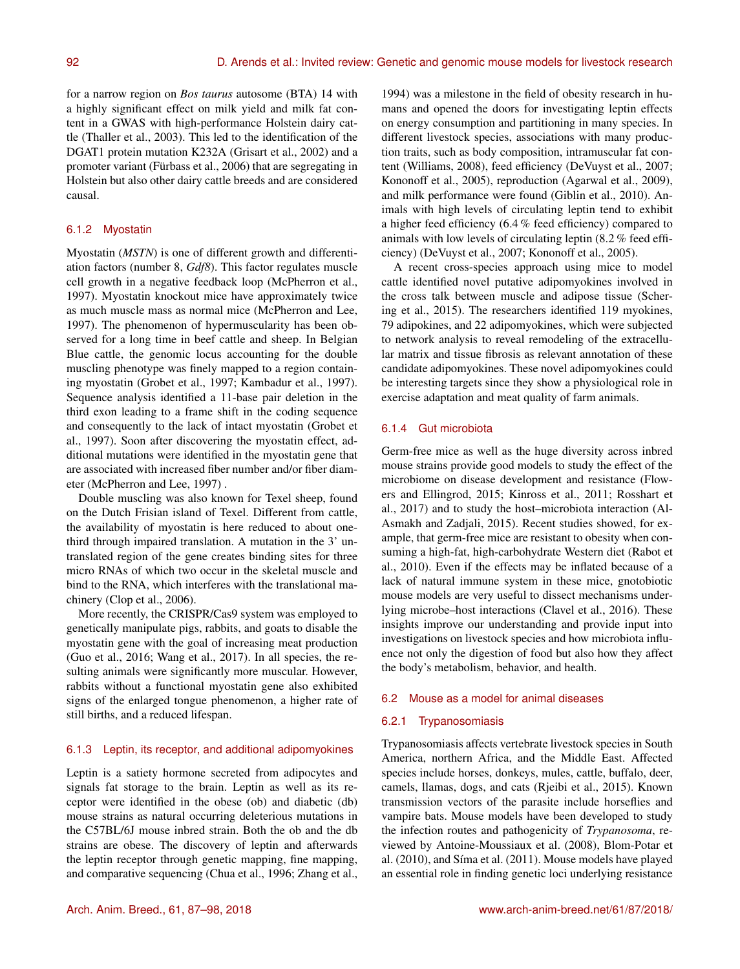for a narrow region on *Bos taurus* autosome (BTA) 14 with a highly significant effect on milk yield and milk fat content in a GWAS with high-performance Holstein dairy cattle (Thaller et al., 2003). This led to the identification of the DGAT1 protein mutation K232A (Grisart et al., 2002) and a promoter variant (Fürbass et al., 2006) that are segregating in Holstein but also other dairy cattle breeds and are considered causal.

## 6.1.2 Myostatin

Myostatin (*MSTN*) is one of different growth and differentiation factors (number 8, *Gdf8*). This factor regulates muscle cell growth in a negative feedback loop (McPherron et al., 1997). Myostatin knockout mice have approximately twice as much muscle mass as normal mice (McPherron and Lee, 1997). The phenomenon of hypermuscularity has been observed for a long time in beef cattle and sheep. In Belgian Blue cattle, the genomic locus accounting for the double muscling phenotype was finely mapped to a region containing myostatin (Grobet et al., 1997; Kambadur et al., 1997). Sequence analysis identified a 11-base pair deletion in the third exon leading to a frame shift in the coding sequence and consequently to the lack of intact myostatin (Grobet et al., 1997). Soon after discovering the myostatin effect, additional mutations were identified in the myostatin gene that are associated with increased fiber number and/or fiber diameter (McPherron and Lee, 1997) .

Double muscling was also known for Texel sheep, found on the Dutch Frisian island of Texel. Different from cattle, the availability of myostatin is here reduced to about onethird through impaired translation. A mutation in the 3' untranslated region of the gene creates binding sites for three micro RNAs of which two occur in the skeletal muscle and bind to the RNA, which interferes with the translational machinery (Clop et al., 2006).

More recently, the CRISPR/Cas9 system was employed to genetically manipulate pigs, rabbits, and goats to disable the myostatin gene with the goal of increasing meat production (Guo et al., 2016; Wang et al., 2017). In all species, the resulting animals were significantly more muscular. However, rabbits without a functional myostatin gene also exhibited signs of the enlarged tongue phenomenon, a higher rate of still births, and a reduced lifespan.

#### 6.1.3 Leptin, its receptor, and additional adipomyokines

Leptin is a satiety hormone secreted from adipocytes and signals fat storage to the brain. Leptin as well as its receptor were identified in the obese (ob) and diabetic (db) mouse strains as natural occurring deleterious mutations in the C57BL/6J mouse inbred strain. Both the ob and the db strains are obese. The discovery of leptin and afterwards the leptin receptor through genetic mapping, fine mapping, and comparative sequencing (Chua et al., 1996; Zhang et al., 1994) was a milestone in the field of obesity research in humans and opened the doors for investigating leptin effects on energy consumption and partitioning in many species. In different livestock species, associations with many production traits, such as body composition, intramuscular fat content (Williams, 2008), feed efficiency (DeVuyst et al., 2007; Kononoff et al., 2005), reproduction (Agarwal et al., 2009), and milk performance were found (Giblin et al., 2010). Animals with high levels of circulating leptin tend to exhibit a higher feed efficiency (6.4 % feed efficiency) compared to animals with low levels of circulating leptin (8.2 % feed efficiency) (DeVuyst et al., 2007; Kononoff et al., 2005).

A recent cross-species approach using mice to model cattle identified novel putative adipomyokines involved in the cross talk between muscle and adipose tissue (Schering et al., 2015). The researchers identified 119 myokines, 79 adipokines, and 22 adipomyokines, which were subjected to network analysis to reveal remodeling of the extracellular matrix and tissue fibrosis as relevant annotation of these candidate adipomyokines. These novel adipomyokines could be interesting targets since they show a physiological role in exercise adaptation and meat quality of farm animals.

#### 6.1.4 Gut microbiota

Germ-free mice as well as the huge diversity across inbred mouse strains provide good models to study the effect of the microbiome on disease development and resistance (Flowers and Ellingrod, 2015; Kinross et al., 2011; Rosshart et al., 2017) and to study the host–microbiota interaction (Al-Asmakh and Zadjali, 2015). Recent studies showed, for example, that germ-free mice are resistant to obesity when consuming a high-fat, high-carbohydrate Western diet (Rabot et al., 2010). Even if the effects may be inflated because of a lack of natural immune system in these mice, gnotobiotic mouse models are very useful to dissect mechanisms underlying microbe–host interactions (Clavel et al., 2016). These insights improve our understanding and provide input into investigations on livestock species and how microbiota influence not only the digestion of food but also how they affect the body's metabolism, behavior, and health.

## 6.2 Mouse as a model for animal diseases

#### 6.2.1 Trypanosomiasis

Trypanosomiasis affects vertebrate livestock species in South America, northern Africa, and the Middle East. Affected species include horses, donkeys, mules, cattle, buffalo, deer, camels, llamas, dogs, and cats (Rjeibi et al., 2015). Known transmission vectors of the parasite include horseflies and vampire bats. Mouse models have been developed to study the infection routes and pathogenicity of *Trypanosoma*, reviewed by Antoine-Moussiaux et al. (2008), Blom-Potar et al. (2010), and Síma et al. (2011). Mouse models have played an essential role in finding genetic loci underlying resistance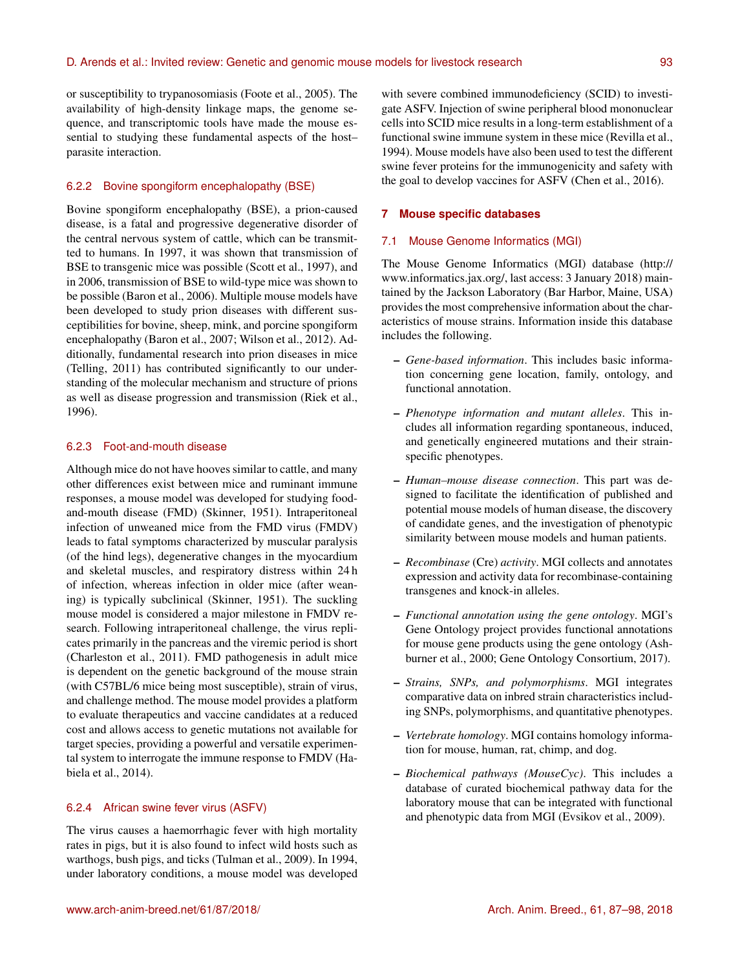or susceptibility to trypanosomiasis (Foote et al., 2005). The availability of high-density linkage maps, the genome sequence, and transcriptomic tools have made the mouse essential to studying these fundamental aspects of the host– parasite interaction.

## 6.2.2 Bovine spongiform encephalopathy (BSE)

Bovine spongiform encephalopathy (BSE), a prion-caused disease, is a fatal and progressive degenerative disorder of the central nervous system of cattle, which can be transmitted to humans. In 1997, it was shown that transmission of BSE to transgenic mice was possible (Scott et al., 1997), and in 2006, transmission of BSE to wild-type mice was shown to be possible (Baron et al., 2006). Multiple mouse models have been developed to study prion diseases with different susceptibilities for bovine, sheep, mink, and porcine spongiform encephalopathy (Baron et al., 2007; Wilson et al., 2012). Additionally, fundamental research into prion diseases in mice (Telling, 2011) has contributed significantly to our understanding of the molecular mechanism and structure of prions as well as disease progression and transmission (Riek et al., 1996).

## 6.2.3 Foot-and-mouth disease

Although mice do not have hooves similar to cattle, and many other differences exist between mice and ruminant immune responses, a mouse model was developed for studying foodand-mouth disease (FMD) (Skinner, 1951). Intraperitoneal infection of unweaned mice from the FMD virus (FMDV) leads to fatal symptoms characterized by muscular paralysis (of the hind legs), degenerative changes in the myocardium and skeletal muscles, and respiratory distress within 24 h of infection, whereas infection in older mice (after weaning) is typically subclinical (Skinner, 1951). The suckling mouse model is considered a major milestone in FMDV research. Following intraperitoneal challenge, the virus replicates primarily in the pancreas and the viremic period is short (Charleston et al., 2011). FMD pathogenesis in adult mice is dependent on the genetic background of the mouse strain (with C57BL/6 mice being most susceptible), strain of virus, and challenge method. The mouse model provides a platform to evaluate therapeutics and vaccine candidates at a reduced cost and allows access to genetic mutations not available for target species, providing a powerful and versatile experimental system to interrogate the immune response to FMDV (Habiela et al., 2014).

## 6.2.4 African swine fever virus (ASFV)

The virus causes a haemorrhagic fever with high mortality rates in pigs, but it is also found to infect wild hosts such as warthogs, bush pigs, and ticks (Tulman et al., 2009). In 1994, under laboratory conditions, a mouse model was developed with severe combined immunodeficiency (SCID) to investigate ASFV. Injection of swine peripheral blood mononuclear cells into SCID mice results in a long-term establishment of a functional swine immune system in these mice (Revilla et al., 1994). Mouse models have also been used to test the different swine fever proteins for the immunogenicity and safety with the goal to develop vaccines for ASFV (Chen et al., 2016).

#### **7 Mouse specific databases**

#### 7.1 Mouse Genome Informatics (MGI)

The Mouse Genome Informatics (MGI) database [\(http://](http://www.informatics.jax.org/) [www.informatics.jax.org/,](http://www.informatics.jax.org/) last access: 3 January 2018) maintained by the Jackson Laboratory (Bar Harbor, Maine, USA) provides the most comprehensive information about the characteristics of mouse strains. Information inside this database includes the following.

- *Gene-based information*. This includes basic information concerning gene location, family, ontology, and functional annotation.
- *Phenotype information and mutant alleles*. This includes all information regarding spontaneous, induced, and genetically engineered mutations and their strainspecific phenotypes.
- *Human–mouse disease connection*. This part was designed to facilitate the identification of published and potential mouse models of human disease, the discovery of candidate genes, and the investigation of phenotypic similarity between mouse models and human patients.
- *Recombinase* (Cre) *activity*. MGI collects and annotates expression and activity data for recombinase-containing transgenes and knock-in alleles.
- *Functional annotation using the gene ontology*. MGI's Gene Ontology project provides functional annotations for mouse gene products using the gene ontology (Ashburner et al., 2000; Gene Ontology Consortium, 2017).
- *Strains, SNPs, and polymorphisms*. MGI integrates comparative data on inbred strain characteristics including SNPs, polymorphisms, and quantitative phenotypes.
- *Vertebrate homology*. MGI contains homology information for mouse, human, rat, chimp, and dog.
- *Biochemical pathways (MouseCyc)*. This includes a database of curated biochemical pathway data for the laboratory mouse that can be integrated with functional and phenotypic data from MGI (Evsikov et al., 2009).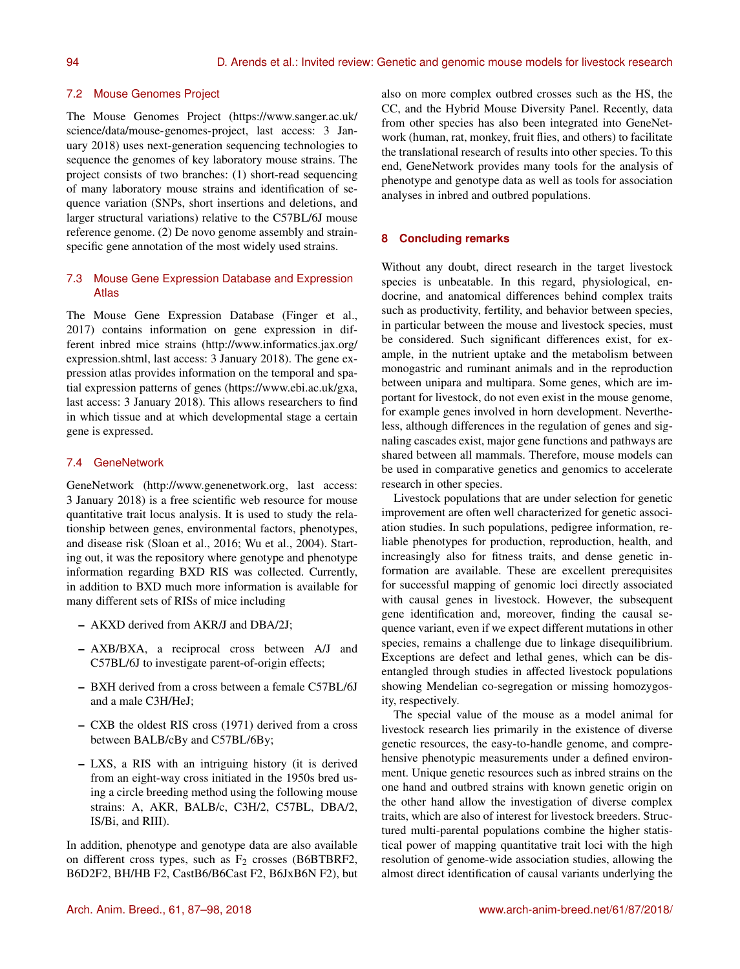## 7.2 Mouse Genomes Project

The Mouse Genomes Project [\(https://www.sanger.ac.uk/](https://www.sanger.ac.uk/science/data/mouse-genomes-project) [science/data/mouse-genomes-project,](https://www.sanger.ac.uk/science/data/mouse-genomes-project) last access: 3 January 2018) uses next-generation sequencing technologies to sequence the genomes of key laboratory mouse strains. The project consists of two branches: (1) short-read sequencing of many laboratory mouse strains and identification of sequence variation (SNPs, short insertions and deletions, and larger structural variations) relative to the C57BL/6J mouse reference genome. (2) De novo genome assembly and strainspecific gene annotation of the most widely used strains.

# 7.3 Mouse Gene Expression Database and Expression Atlas

The Mouse Gene Expression Database (Finger et al., 2017) contains information on gene expression in different inbred mice strains [\(http://www.informatics.jax.org/](http://www.informatics.jax.org/expression.shtml) [expression.shtml,](http://www.informatics.jax.org/expression.shtml) last access: 3 January 2018). The gene expression atlas provides information on the temporal and spatial expression patterns of genes [\(https://www.ebi.ac.uk/gxa,](https://www.ebi.ac.uk/gxa) last access: 3 January 2018). This allows researchers to find in which tissue and at which developmental stage a certain gene is expressed.

## 7.4 GeneNetwork

GeneNetwork [\(http://www.genenetwork.org,](http://www.genenetwork.org) last access: 3 January 2018) is a free scientific web resource for mouse quantitative trait locus analysis. It is used to study the relationship between genes, environmental factors, phenotypes, and disease risk (Sloan et al., 2016; Wu et al., 2004). Starting out, it was the repository where genotype and phenotype information regarding BXD RIS was collected. Currently, in addition to BXD much more information is available for many different sets of RISs of mice including

- AKXD derived from AKR/J and DBA/2J;
- AXB/BXA, a reciprocal cross between A/J and C57BL/6J to investigate parent-of-origin effects;
- BXH derived from a cross between a female C57BL/6J and a male C3H/HeJ;
- CXB the oldest RIS cross (1971) derived from a cross between BALB/cBy and C57BL/6By;
- LXS, a RIS with an intriguing history (it is derived from an eight-way cross initiated in the 1950s bred using a circle breeding method using the following mouse strains: A, AKR, BALB/c, C3H/2, C57BL, DBA/2, IS/Bi, and RIII).

In addition, phenotype and genotype data are also available on different cross types, such as  $F_2$  crosses (B6BTBRF2, B6D2F2, BH/HB F2, CastB6/B6Cast F2, B6JxB6N F2), but also on more complex outbred crosses such as the HS, the CC, and the Hybrid Mouse Diversity Panel. Recently, data from other species has also been integrated into GeneNetwork (human, rat, monkey, fruit flies, and others) to facilitate the translational research of results into other species. To this end, GeneNetwork provides many tools for the analysis of phenotype and genotype data as well as tools for association analyses in inbred and outbred populations.

## **8 Concluding remarks**

Without any doubt, direct research in the target livestock species is unbeatable. In this regard, physiological, endocrine, and anatomical differences behind complex traits such as productivity, fertility, and behavior between species, in particular between the mouse and livestock species, must be considered. Such significant differences exist, for example, in the nutrient uptake and the metabolism between monogastric and ruminant animals and in the reproduction between unipara and multipara. Some genes, which are important for livestock, do not even exist in the mouse genome, for example genes involved in horn development. Nevertheless, although differences in the regulation of genes and signaling cascades exist, major gene functions and pathways are shared between all mammals. Therefore, mouse models can be used in comparative genetics and genomics to accelerate research in other species.

Livestock populations that are under selection for genetic improvement are often well characterized for genetic association studies. In such populations, pedigree information, reliable phenotypes for production, reproduction, health, and increasingly also for fitness traits, and dense genetic information are available. These are excellent prerequisites for successful mapping of genomic loci directly associated with causal genes in livestock. However, the subsequent gene identification and, moreover, finding the causal sequence variant, even if we expect different mutations in other species, remains a challenge due to linkage disequilibrium. Exceptions are defect and lethal genes, which can be disentangled through studies in affected livestock populations showing Mendelian co-segregation or missing homozygosity, respectively.

The special value of the mouse as a model animal for livestock research lies primarily in the existence of diverse genetic resources, the easy-to-handle genome, and comprehensive phenotypic measurements under a defined environment. Unique genetic resources such as inbred strains on the one hand and outbred strains with known genetic origin on the other hand allow the investigation of diverse complex traits, which are also of interest for livestock breeders. Structured multi-parental populations combine the higher statistical power of mapping quantitative trait loci with the high resolution of genome-wide association studies, allowing the almost direct identification of causal variants underlying the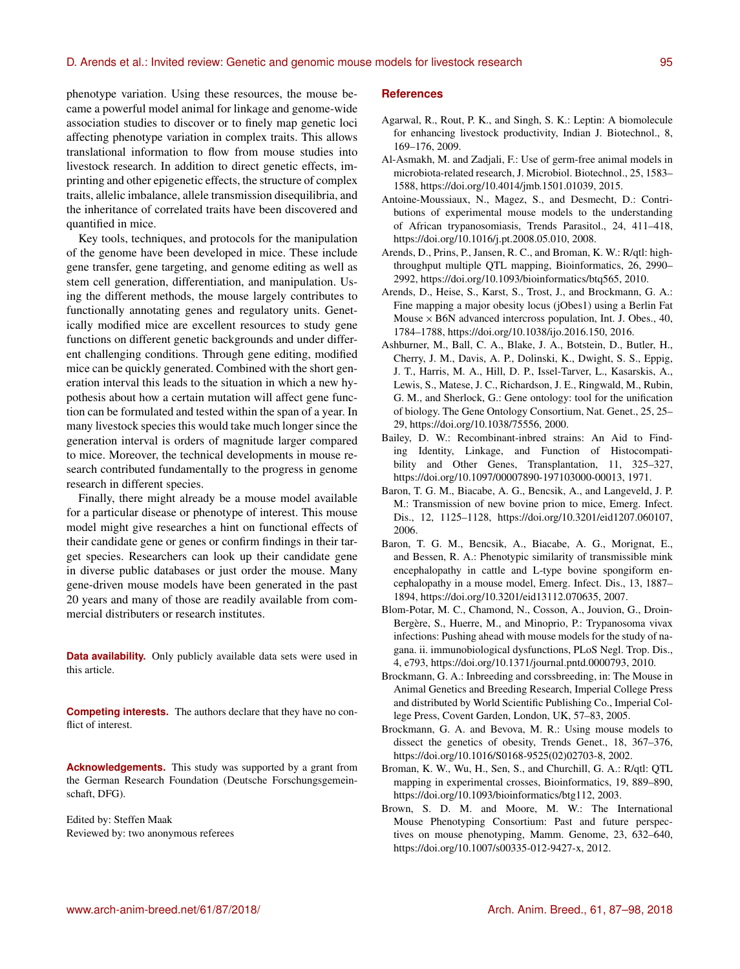phenotype variation. Using these resources, the mouse became a powerful model animal for linkage and genome-wide association studies to discover or to finely map genetic loci affecting phenotype variation in complex traits. This allows translational information to flow from mouse studies into livestock research. In addition to direct genetic effects, imprinting and other epigenetic effects, the structure of complex traits, allelic imbalance, allele transmission disequilibria, and the inheritance of correlated traits have been discovered and quantified in mice.

Key tools, techniques, and protocols for the manipulation of the genome have been developed in mice. These include gene transfer, gene targeting, and genome editing as well as stem cell generation, differentiation, and manipulation. Using the different methods, the mouse largely contributes to functionally annotating genes and regulatory units. Genetically modified mice are excellent resources to study gene functions on different genetic backgrounds and under different challenging conditions. Through gene editing, modified mice can be quickly generated. Combined with the short generation interval this leads to the situation in which a new hypothesis about how a certain mutation will affect gene function can be formulated and tested within the span of a year. In many livestock species this would take much longer since the generation interval is orders of magnitude larger compared to mice. Moreover, the technical developments in mouse research contributed fundamentally to the progress in genome research in different species.

Finally, there might already be a mouse model available for a particular disease or phenotype of interest. This mouse model might give researches a hint on functional effects of their candidate gene or genes or confirm findings in their target species. Researchers can look up their candidate gene in diverse public databases or just order the mouse. Many gene-driven mouse models have been generated in the past 20 years and many of those are readily available from commercial distributers or research institutes.

**Data availability.** Only publicly available data sets were used in this article.

**Competing interests.** The authors declare that they have no conflict of interest.

**Acknowledgements.** This study was supported by a grant from the German Research Foundation (Deutsche Forschungsgemeinschaft, DFG).

Edited by: Steffen Maak Reviewed by: two anonymous referees

#### **References**

- Agarwal, R., Rout, P. K., and Singh, S. K.: Leptin: A biomolecule for enhancing livestock productivity, Indian J. Biotechnol., 8, 169–176, 2009.
- Al-Asmakh, M. and Zadjali, F.: Use of germ-free animal models in microbiota-related research, J. Microbiol. Biotechnol., 25, 1583– 1588, https://doi.org[/10.4014/jmb.1501.01039,](https://doi.org/10.4014/jmb.1501.01039) 2015.
- Antoine-Moussiaux, N., Magez, S., and Desmecht, D.: Contributions of experimental mouse models to the understanding of African trypanosomiasis, Trends Parasitol., 24, 411–418, https://doi.org[/10.1016/j.pt.2008.05.010,](https://doi.org/10.1016/j.pt.2008.05.010) 2008.
- Arends, D., Prins, P., Jansen, R. C., and Broman, K. W.: R/qtl: highthroughput multiple QTL mapping, Bioinformatics, 26, 2990– 2992, https://doi.org[/10.1093/bioinformatics/btq565,](https://doi.org/10.1093/bioinformatics/btq565) 2010.
- Arends, D., Heise, S., Karst, S., Trost, J., and Brockmann, G. A.: Fine mapping a major obesity locus (jObes1) using a Berlin Fat Mouse  $\times$  B6N advanced intercross population, Int. J. Obes., 40, 1784–1788, https://doi.org[/10.1038/ijo.2016.150,](https://doi.org/10.1038/ijo.2016.150) 2016.
- Ashburner, M., Ball, C. A., Blake, J. A., Botstein, D., Butler, H., Cherry, J. M., Davis, A. P., Dolinski, K., Dwight, S. S., Eppig, J. T., Harris, M. A., Hill, D. P., Issel-Tarver, L., Kasarskis, A., Lewis, S., Matese, J. C., Richardson, J. E., Ringwald, M., Rubin, G. M., and Sherlock, G.: Gene ontology: tool for the unification of biology. The Gene Ontology Consortium, Nat. Genet., 25, 25– 29, https://doi.org[/10.1038/75556,](https://doi.org/10.1038/75556) 2000.
- Bailey, D. W.: Recombinant-inbred strains: An Aid to Finding Identity, Linkage, and Function of Histocompatibility and Other Genes, Transplantation, 11, 325-327, https://doi.org[/10.1097/00007890-197103000-00013,](https://doi.org/10.1097/00007890-197103000-00013) 1971.
- Baron, T. G. M., Biacabe, A. G., Bencsik, A., and Langeveld, J. P. M.: Transmission of new bovine prion to mice, Emerg. Infect. Dis., 12, 1125–1128, https://doi.org[/10.3201/eid1207.060107,](https://doi.org/10.3201/eid1207.060107) 2006.
- Baron, T. G. M., Bencsik, A., Biacabe, A. G., Morignat, E., and Bessen, R. A.: Phenotypic similarity of transmissible mink encephalopathy in cattle and L-type bovine spongiform encephalopathy in a mouse model, Emerg. Infect. Dis., 13, 1887– 1894, https://doi.org[/10.3201/eid13112.070635,](https://doi.org/10.3201/eid13112.070635) 2007.
- Blom-Potar, M. C., Chamond, N., Cosson, A., Jouvion, G., Droin-Bergère, S., Huerre, M., and Minoprio, P.: Trypanosoma vivax infections: Pushing ahead with mouse models for the study of nagana. ii. immunobiological dysfunctions, PLoS Negl. Trop. Dis., 4, e793, https://doi.org[/10.1371/journal.pntd.0000793,](https://doi.org/10.1371/journal.pntd.0000793) 2010.
- Brockmann, G. A.: Inbreeding and corssbreeding, in: The Mouse in Animal Genetics and Breeding Research, Imperial College Press and distributed by World Scientific Publishing Co., Imperial College Press, Covent Garden, London, UK, 57–83, 2005.
- Brockmann, G. A. and Bevova, M. R.: Using mouse models to dissect the genetics of obesity, Trends Genet., 18, 367–376, https://doi.org[/10.1016/S0168-9525\(02\)02703-8,](https://doi.org/10.1016/S0168-9525(02)02703-8) 2002.
- Broman, K. W., Wu, H., Sen, S., and Churchill, G. A.: R/qtl: QTL mapping in experimental crosses, Bioinformatics, 19, 889–890, https://doi.org[/10.1093/bioinformatics/btg112,](https://doi.org/10.1093/bioinformatics/btg112) 2003.
- Brown, S. D. M. and Moore, M. W.: The International Mouse Phenotyping Consortium: Past and future perspectives on mouse phenotyping, Mamm. Genome, 23, 632–640, https://doi.org[/10.1007/s00335-012-9427-x,](https://doi.org/10.1007/s00335-012-9427-x) 2012.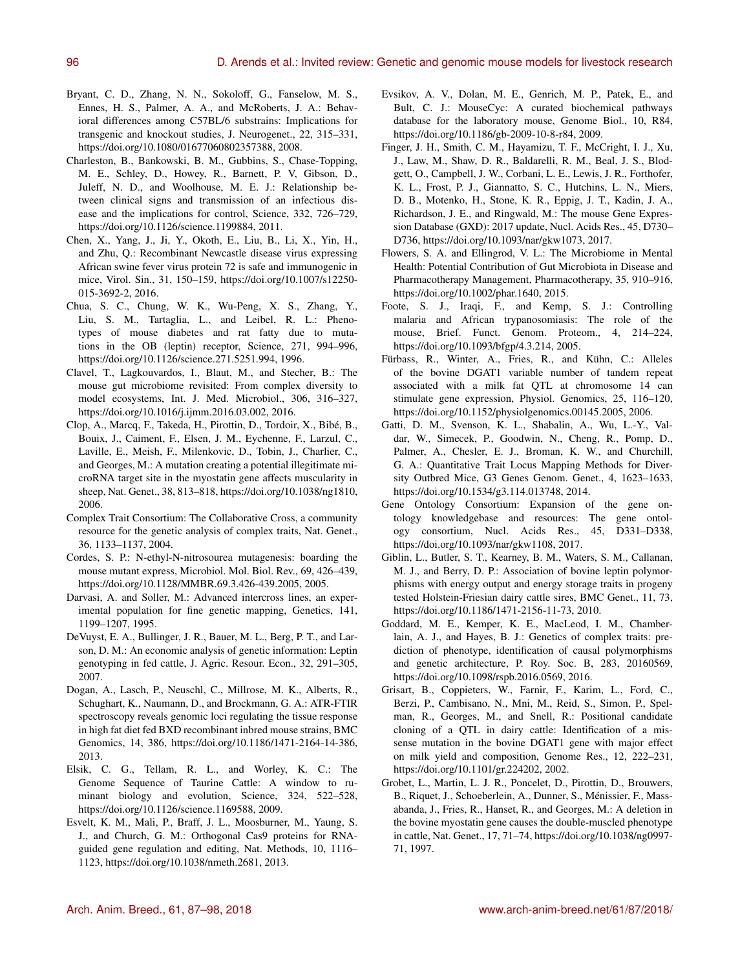- Bryant, C. D., Zhang, N. N., Sokoloff, G., Fanselow, M. S., Ennes, H. S., Palmer, A. A., and McRoberts, J. A.: Behavioral differences among C57BL/6 substrains: Implications for transgenic and knockout studies, J. Neurogenet., 22, 315–331, https://doi.org[/10.1080/01677060802357388,](https://doi.org/10.1080/01677060802357388) 2008.
- Charleston, B., Bankowski, B. M., Gubbins, S., Chase-Topping, M. E., Schley, D., Howey, R., Barnett, P. V, Gibson, D., Juleff, N. D., and Woolhouse, M. E. J.: Relationship between clinical signs and transmission of an infectious disease and the implications for control, Science, 332, 726–729, https://doi.org[/10.1126/science.1199884,](https://doi.org/10.1126/science.1199884) 2011.
- Chen, X., Yang, J., Ji, Y., Okoth, E., Liu, B., Li, X., Yin, H., and Zhu, Q.: Recombinant Newcastle disease virus expressing African swine fever virus protein 72 is safe and immunogenic in mice, Virol. Sin., 31, 150–159, https://doi.org[/10.1007/s12250-](https://doi.org/10.1007/s12250-015-3692-2) [015-3692-2,](https://doi.org/10.1007/s12250-015-3692-2) 2016.
- Chua, S. C., Chung, W. K., Wu-Peng, X. S., Zhang, Y., Liu, S. M., Tartaglia, L., and Leibel, R. L.: Phenotypes of mouse diabetes and rat fatty due to mutations in the OB (leptin) receptor, Science, 271, 994–996, https://doi.org[/10.1126/science.271.5251.994,](https://doi.org/10.1126/science.271.5251.994) 1996.
- Clavel, T., Lagkouvardos, I., Blaut, M., and Stecher, B.: The mouse gut microbiome revisited: From complex diversity to model ecosystems, Int. J. Med. Microbiol., 306, 316–327, https://doi.org[/10.1016/j.ijmm.2016.03.002,](https://doi.org/10.1016/j.ijmm.2016.03.002) 2016.
- Clop, A., Marcq, F., Takeda, H., Pirottin, D., Tordoir, X., Bibé, B., Bouix, J., Caiment, F., Elsen, J. M., Eychenne, F., Larzul, C., Laville, E., Meish, F., Milenkovic, D., Tobin, J., Charlier, C., and Georges, M.: A mutation creating a potential illegitimate microRNA target site in the myostatin gene affects muscularity in sheep, Nat. Genet., 38, 813–818, https://doi.org[/10.1038/ng1810,](https://doi.org/10.1038/ng1810) 2006.
- Complex Trait Consortium: The Collaborative Cross, a community resource for the genetic analysis of complex traits, Nat. Genet., 36, 1133–1137, 2004.
- Cordes, S. P.: N-ethyl-N-nitrosourea mutagenesis: boarding the mouse mutant express, Microbiol. Mol. Biol. Rev., 69, 426–439, https://doi.org[/10.1128/MMBR.69.3.426-439.2005,](https://doi.org/10.1128/MMBR.69.3.426-439.2005) 2005.
- Darvasi, A. and Soller, M.: Advanced intercross lines, an experimental population for fine genetic mapping, Genetics, 141, 1199–1207, 1995.
- DeVuyst, E. A., Bullinger, J. R., Bauer, M. L., Berg, P. T., and Larson, D. M.: An economic analysis of genetic information: Leptin genotyping in fed cattle, J. Agric. Resour. Econ., 32, 291–305, 2007.
- Dogan, A., Lasch, P., Neuschl, C., Millrose, M. K., Alberts, R., Schughart, K., Naumann, D., and Brockmann, G. A.: ATR-FTIR spectroscopy reveals genomic loci regulating the tissue response in high fat diet fed BXD recombinant inbred mouse strains, BMC Genomics, 14, 386, https://doi.org[/10.1186/1471-2164-14-386,](https://doi.org/10.1186/1471-2164-14-386) 2013.
- Elsik, C. G., Tellam, R. L., and Worley, K. C.: The Genome Sequence of Taurine Cattle: A window to ruminant biology and evolution, Science, 324, 522–528, https://doi.org[/10.1126/science.1169588,](https://doi.org/10.1126/science.1169588) 2009.
- Esvelt, K. M., Mali, P., Braff, J. L., Moosburner, M., Yaung, S. J., and Church, G. M.: Orthogonal Cas9 proteins for RNAguided gene regulation and editing, Nat. Methods, 10, 1116– 1123, https://doi.org[/10.1038/nmeth.2681,](https://doi.org/10.1038/nmeth.2681) 2013.
- Evsikov, A. V., Dolan, M. E., Genrich, M. P., Patek, E., and Bult, C. J.: MouseCyc: A curated biochemical pathways database for the laboratory mouse, Genome Biol., 10, R84, https://doi.org[/10.1186/gb-2009-10-8-r84,](https://doi.org/10.1186/gb-2009-10-8-r84) 2009.
- Finger, J. H., Smith, C. M., Hayamizu, T. F., McCright, I. J., Xu, J., Law, M., Shaw, D. R., Baldarelli, R. M., Beal, J. S., Blodgett, O., Campbell, J. W., Corbani, L. E., Lewis, J. R., Forthofer, K. L., Frost, P. J., Giannatto, S. C., Hutchins, L. N., Miers, D. B., Motenko, H., Stone, K. R., Eppig, J. T., Kadin, J. A., Richardson, J. E., and Ringwald, M.: The mouse Gene Expression Database (GXD): 2017 update, Nucl. Acids Res., 45, D730– D736, https://doi.org[/10.1093/nar/gkw1073,](https://doi.org/10.1093/nar/gkw1073) 2017.
- Flowers, S. A. and Ellingrod, V. L.: The Microbiome in Mental Health: Potential Contribution of Gut Microbiota in Disease and Pharmacotherapy Management, Pharmacotherapy, 35, 910–916, https://doi.org[/10.1002/phar.1640,](https://doi.org/10.1002/phar.1640) 2015.
- Foote, S. J., Iraqi, F., and Kemp, S. J.: Controlling malaria and African trypanosomiasis: The role of the mouse, Brief. Funct. Genom. Proteom., 4, 214–224, https://doi.org[/10.1093/bfgp/4.3.214,](https://doi.org/10.1093/bfgp/4.3.214) 2005.
- Fürbass, R., Winter, A., Fries, R., and Kühn, C.: Alleles of the bovine DGAT1 variable number of tandem repeat associated with a milk fat QTL at chromosome 14 can stimulate gene expression, Physiol. Genomics, 25, 116–120, https://doi.org[/10.1152/physiolgenomics.00145.2005,](https://doi.org/10.1152/physiolgenomics.00145.2005) 2006.
- Gatti, D. M., Svenson, K. L., Shabalin, A., Wu, L.-Y., Valdar, W., Simecek, P., Goodwin, N., Cheng, R., Pomp, D., Palmer, A., Chesler, E. J., Broman, K. W., and Churchill, G. A.: Quantitative Trait Locus Mapping Methods for Diversity Outbred Mice, G3 Genes Genom. Genet., 4, 1623–1633, https://doi.org[/10.1534/g3.114.013748,](https://doi.org/10.1534/g3.114.013748) 2014.
- Gene Ontology Consortium: Expansion of the gene ontology knowledgebase and resources: The gene ontology consortium, Nucl. Acids Res., 45, D331–D338, https://doi.org[/10.1093/nar/gkw1108,](https://doi.org/10.1093/nar/gkw1108) 2017.
- Giblin, L., Butler, S. T., Kearney, B. M., Waters, S. M., Callanan, M. J., and Berry, D. P.: Association of bovine leptin polymorphisms with energy output and energy storage traits in progeny tested Holstein-Friesian dairy cattle sires, BMC Genet., 11, 73, https://doi.org[/10.1186/1471-2156-11-73,](https://doi.org/10.1186/1471-2156-11-73) 2010.
- Goddard, M. E., Kemper, K. E., MacLeod, I. M., Chamberlain, A. J., and Hayes, B. J.: Genetics of complex traits: prediction of phenotype, identification of causal polymorphisms and genetic architecture, P. Roy. Soc. B, 283, 20160569, https://doi.org[/10.1098/rspb.2016.0569,](https://doi.org/10.1098/rspb.2016.0569) 2016.
- Grisart, B., Coppieters, W., Farnir, F., Karim, L., Ford, C., Berzi, P., Cambisano, N., Mni, M., Reid, S., Simon, P., Spelman, R., Georges, M., and Snell, R.: Positional candidate cloning of a QTL in dairy cattle: Identification of a missense mutation in the bovine DGAT1 gene with major effect on milk yield and composition, Genome Res., 12, 222–231, https://doi.org[/10.1101/gr.224202,](https://doi.org/10.1101/gr.224202) 2002.
- Grobet, L., Martin, L. J. R., Poncelet, D., Pirottin, D., Brouwers, B., Riquet, J., Schoeberlein, A., Dunner, S., Ménissier, F., Massabanda, J., Fries, R., Hanset, R., and Georges, M.: A deletion in the bovine myostatin gene causes the double-muscled phenotype in cattle, Nat. Genet., 17, 71–74, https://doi.org[/10.1038/ng0997-](https://doi.org/10.1038/ng0997-71) [71,](https://doi.org/10.1038/ng0997-71) 1997.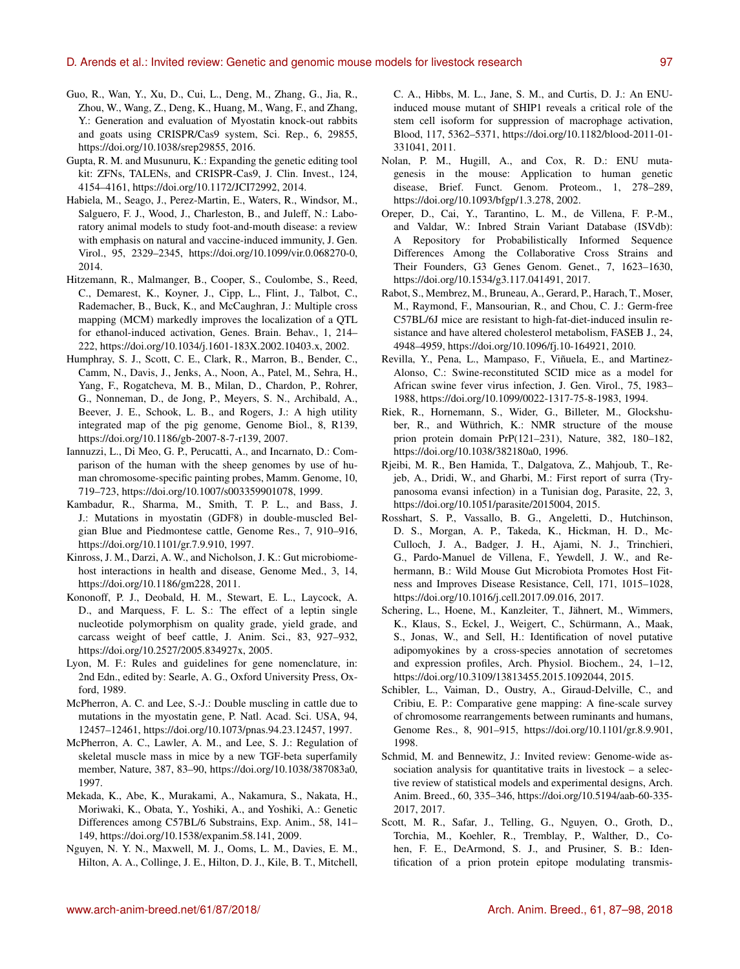- Guo, R., Wan, Y., Xu, D., Cui, L., Deng, M., Zhang, G., Jia, R., Zhou, W., Wang, Z., Deng, K., Huang, M., Wang, F., and Zhang, Y.: Generation and evaluation of Myostatin knock-out rabbits and goats using CRISPR/Cas9 system, Sci. Rep., 6, 29855, https://doi.org[/10.1038/srep29855,](https://doi.org/10.1038/srep29855) 2016.
- Gupta, R. M. and Musunuru, K.: Expanding the genetic editing tool kit: ZFNs, TALENs, and CRISPR-Cas9, J. Clin. Invest., 124, 4154–4161, https://doi.org[/10.1172/JCI72992,](https://doi.org/10.1172/JCI72992) 2014.
- Habiela, M., Seago, J., Perez-Martin, E., Waters, R., Windsor, M., Salguero, F. J., Wood, J., Charleston, B., and Juleff, N.: Laboratory animal models to study foot-and-mouth disease: a review with emphasis on natural and vaccine-induced immunity, J. Gen. Virol., 95, 2329–2345, https://doi.org[/10.1099/vir.0.068270-0,](https://doi.org/10.1099/vir.0.068270-0) 2014.
- Hitzemann, R., Malmanger, B., Cooper, S., Coulombe, S., Reed, C., Demarest, K., Koyner, J., Cipp, L., Flint, J., Talbot, C., Rademacher, B., Buck, K., and McCaughran, J.: Multiple cross mapping (MCM) markedly improves the localization of a QTL for ethanol-induced activation, Genes. Brain. Behav., 1, 214– 222, https://doi.org[/10.1034/j.1601-183X.2002.10403.x,](https://doi.org/10.1034/j.1601-183X.2002.10403.x) 2002.
- Humphray, S. J., Scott, C. E., Clark, R., Marron, B., Bender, C., Camm, N., Davis, J., Jenks, A., Noon, A., Patel, M., Sehra, H., Yang, F., Rogatcheva, M. B., Milan, D., Chardon, P., Rohrer, G., Nonneman, D., de Jong, P., Meyers, S. N., Archibald, A., Beever, J. E., Schook, L. B., and Rogers, J.: A high utility integrated map of the pig genome, Genome Biol., 8, R139, https://doi.org[/10.1186/gb-2007-8-7-r139,](https://doi.org/10.1186/gb-2007-8-7-r139) 2007.
- Iannuzzi, L., Di Meo, G. P., Perucatti, A., and Incarnato, D.: Comparison of the human with the sheep genomes by use of human chromosome-specific painting probes, Mamm. Genome, 10, 719–723, https://doi.org[/10.1007/s003359901078,](https://doi.org/10.1007/s003359901078) 1999.
- Kambadur, R., Sharma, M., Smith, T. P. L., and Bass, J. J.: Mutations in myostatin (GDF8) in double-muscled Belgian Blue and Piedmontese cattle, Genome Res., 7, 910–916, https://doi.org[/10.1101/gr.7.9.910,](https://doi.org/10.1101/gr.7.9.910) 1997.
- Kinross, J. M., Darzi, A. W., and Nicholson, J. K.: Gut microbiomehost interactions in health and disease, Genome Med., 3, 14, https://doi.org[/10.1186/gm228,](https://doi.org/10.1186/gm228) 2011.
- Kononoff, P. J., Deobald, H. M., Stewart, E. L., Laycock, A. D., and Marquess, F. L. S.: The effect of a leptin single nucleotide polymorphism on quality grade, yield grade, and carcass weight of beef cattle, J. Anim. Sci., 83, 927–932, https://doi.org[/10.2527/2005.834927x,](https://doi.org/10.2527/2005.834927x) 2005.
- Lyon, M. F.: Rules and guidelines for gene nomenclature, in: 2nd Edn., edited by: Searle, A. G., Oxford University Press, Oxford, 1989.
- McPherron, A. C. and Lee, S.-J.: Double muscling in cattle due to mutations in the myostatin gene, P. Natl. Acad. Sci. USA, 94, 12457–12461, https://doi.org[/10.1073/pnas.94.23.12457,](https://doi.org/10.1073/pnas.94.23.12457) 1997.
- McPherron, A. C., Lawler, A. M., and Lee, S. J.: Regulation of skeletal muscle mass in mice by a new TGF-beta superfamily member, Nature, 387, 83–90, https://doi.org[/10.1038/387083a0,](https://doi.org/10.1038/387083a0) 1997.
- Mekada, K., Abe, K., Murakami, A., Nakamura, S., Nakata, H., Moriwaki, K., Obata, Y., Yoshiki, A., and Yoshiki, A.: Genetic Differences among C57BL/6 Substrains, Exp. Anim., 58, 141– 149, https://doi.org[/10.1538/expanim.58.141,](https://doi.org/10.1538/expanim.58.141) 2009.
- Nguyen, N. Y. N., Maxwell, M. J., Ooms, L. M., Davies, E. M., Hilton, A. A., Collinge, J. E., Hilton, D. J., Kile, B. T., Mitchell,

C. A., Hibbs, M. L., Jane, S. M., and Curtis, D. J.: An ENUinduced mouse mutant of SHIP1 reveals a critical role of the stem cell isoform for suppression of macrophage activation, Blood, 117, 5362–5371, https://doi.org[/10.1182/blood-2011-01-](https://doi.org/10.1182/blood-2011-01-331041) [331041,](https://doi.org/10.1182/blood-2011-01-331041) 2011.

- Nolan, P. M., Hugill, A., and Cox, R. D.: ENU mutagenesis in the mouse: Application to human genetic disease, Brief. Funct. Genom. Proteom., 1, 278–289, https://doi.org[/10.1093/bfgp/1.3.278,](https://doi.org/10.1093/bfgp/1.3.278) 2002.
- Oreper, D., Cai, Y., Tarantino, L. M., de Villena, F. P.-M., and Valdar, W.: Inbred Strain Variant Database (ISVdb): A Repository for Probabilistically Informed Sequence Differences Among the Collaborative Cross Strains and Their Founders, G3 Genes Genom. Genet., 7, 1623–1630, https://doi.org[/10.1534/g3.117.041491,](https://doi.org/10.1534/g3.117.041491) 2017.
- Rabot, S., Membrez, M., Bruneau, A., Gerard, P., Harach, T., Moser, M., Raymond, F., Mansourian, R., and Chou, C. J.: Germ-free C57BL/6J mice are resistant to high-fat-diet-induced insulin resistance and have altered cholesterol metabolism, FASEB J., 24, 4948–4959, https://doi.org[/10.1096/fj.10-164921,](https://doi.org/10.1096/fj.10-164921) 2010.
- Revilla, Y., Pena, L., Mampaso, F., Viñuela, E., and Martinez-Alonso, C.: Swine-reconstituted SCID mice as a model for African swine fever virus infection, J. Gen. Virol., 75, 1983– 1988, https://doi.org[/10.1099/0022-1317-75-8-1983,](https://doi.org/10.1099/0022-1317-75-8-1983) 1994.
- Riek, R., Hornemann, S., Wider, G., Billeter, M., Glockshuber, R., and Wüthrich, K.: NMR structure of the mouse prion protein domain PrP(121–231), Nature, 382, 180–182, https://doi.org[/10.1038/382180a0,](https://doi.org/10.1038/382180a0) 1996.
- Rjeibi, M. R., Ben Hamida, T., Dalgatova, Z., Mahjoub, T., Rejeb, A., Dridi, W., and Gharbi, M.: First report of surra (Trypanosoma evansi infection) in a Tunisian dog, Parasite, 22, 3, https://doi.org[/10.1051/parasite/2015004,](https://doi.org/10.1051/parasite/2015004) 2015.
- Rosshart, S. P., Vassallo, B. G., Angeletti, D., Hutchinson, D. S., Morgan, A. P., Takeda, K., Hickman, H. D., Mc-Culloch, J. A., Badger, J. H., Ajami, N. J., Trinchieri, G., Pardo-Manuel de Villena, F., Yewdell, J. W., and Rehermann, B.: Wild Mouse Gut Microbiota Promotes Host Fitness and Improves Disease Resistance, Cell, 171, 1015–1028, https://doi.org[/10.1016/j.cell.2017.09.016,](https://doi.org/10.1016/j.cell.2017.09.016) 2017.
- Schering, L., Hoene, M., Kanzleiter, T., Jähnert, M., Wimmers, K., Klaus, S., Eckel, J., Weigert, C., Schürmann, A., Maak, S., Jonas, W., and Sell, H.: Identification of novel putative adipomyokines by a cross-species annotation of secretomes and expression profiles, Arch. Physiol. Biochem., 24, 1–12, https://doi.org[/10.3109/13813455.2015.1092044,](https://doi.org/10.3109/13813455.2015.1092044) 2015.
- Schibler, L., Vaiman, D., Oustry, A., Giraud-Delville, C., and Cribiu, E. P.: Comparative gene mapping: A fine-scale survey of chromosome rearrangements between ruminants and humans, Genome Res., 8, 901–915, https://doi.org[/10.1101/gr.8.9.901,](https://doi.org/10.1101/gr.8.9.901) 1998.
- Schmid, M. and Bennewitz, J.: Invited review: Genome-wide association analysis for quantitative traits in livestock – a selective review of statistical models and experimental designs, Arch. Anim. Breed., 60, 335–346, https://doi.org[/10.5194/aab-60-335-](https://doi.org/10.5194/aab-60-335-2017) [2017,](https://doi.org/10.5194/aab-60-335-2017) 2017.
- Scott, M. R., Safar, J., Telling, G., Nguyen, O., Groth, D., Torchia, M., Koehler, R., Tremblay, P., Walther, D., Cohen, F. E., DeArmond, S. J., and Prusiner, S. B.: Identification of a prion protein epitope modulating transmis-